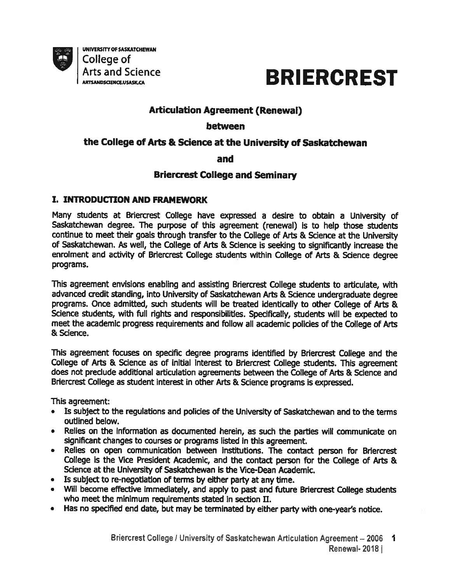



# Articulation Agreement (Renewal)

## between

# the College of Arts & Science at the University of Saskatchewan

#### and

## Briercrest College and Seminary

#### I. INTRODUCTION AND FRAMEWORK

Many students at Briercrest College have expressed a desire to obtain a University of Saskatchewan degree. The purpose of this agreement (renewal) is to help those students continue to meet their goals through transfer to the College of Arts & Science at the University of Saskatchewan. As well, the College of Arts & Science is seeking to significantly increase the enrolment and activity of Briercrest College students within College of Arts & Science degree programs.

This agreement envisions enabling and assisting Briercrest College students to articulate, with advanced credit standing, into University of Saskatchewan Arts & Science undergraduate degree programs. Once admitted, such students will be treated identically to other College of Arts & Science students, with full rights and responsibilities. Specifically, students will be expected to meet the academic progress requirements and follow all academic policies of the College of Arts & Science.

This agreement focuses on specific degree programs identified by Briercrest College and the College of Arts & Science as of initial interest to Briercrest College students. This agreement does not preclude additional articulation agreements between the College of Arts & Science and Briercrest College as student interest in other Arts & Science programs is expressed.

This agreement:

- Is subject to the regulations and policies of the University of Saskatchewan and to the terms outlined below.
- Relies on the information as documented herein, as such the parties will communicate on significant changes to courses or programs listed in this agreement.
- Relies on open communication between institutions. The contact person for Briercrest College is the Vice President Academic, and the contact person for the College of Arts & Science at the University of Saskatchewan is the Vice-Dean Academic.
- Is subject to re-negotiation of terms by either party at any time.
- Will become effective immediately, and apply to past and future Briercrest College students who meet the minimum requirements stated in section IL
- Has no specified end date, but may be terminated by either party with one-year's notice.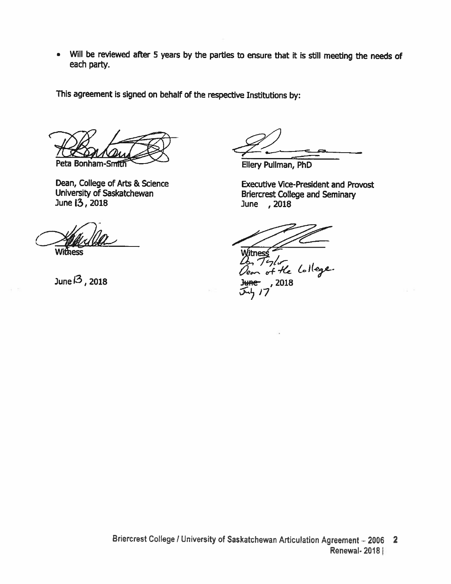• Will be reviewed after <sup>5</sup> years by the parties to ensure that it is still meeting the needs of each party.

This agreement is signed on behalf of the respective Institutions by:

Peta Bonham-Smith Contract Ellery Pullman, PhD

Withess **Witness** 

Dean, College of Arts & Science<br>
University of Saskatchewan<br>
Executive Vice-President and Provost<br>
Briercrest College and Seminary University of Saskatchewan Briercrest College and Seminary June , 2018

 $0$ , Tylo at-.. Junel3,2018 3wce- ,<sup>2018</sup> Juh 17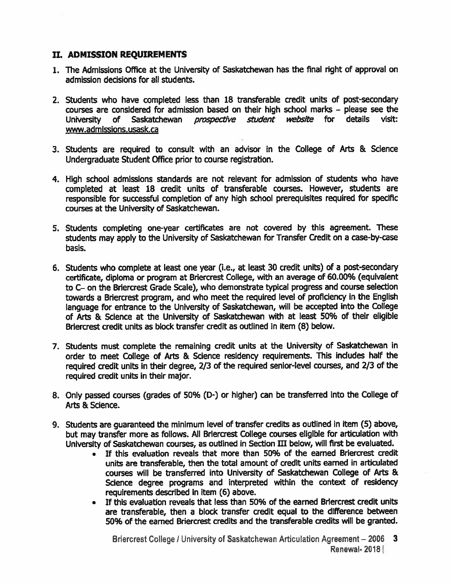#### IL ADMISSION REQUIREMENTS

- 1. The Admissions Office at the University of Saskatchewan has the final right of approval on admission decisions for all students.
- 2. Students who have completed less than 18 transferable credit units of post-secondary courses are considered for admission based on their high school marks – please see the<br>University of Saskatchewan *prospective student website* for details visit: University of Saskatchewan *prospective student website* for details www.admissions.usask.ca
- 3. Students are required to consult with an advisor in the College of Arts & Science Undergraduate Student Office prior to course registration.
- 4. High school admissions standards are not relevant for admission of students who have completed at least 18 credit units of transferable courses. However, students are responsible for successful completion of any high school prerequisites required for specific courses at the University of Saskatchewan.
- 5. Students completing one-year certificates are not covered by this agreement. These students may apply to the University of Saskatchewan for Transfer Credit on a case-by-case basis.
- 6. Students who complete at least one year (i.e., at least 30 credit units) of a post-secondary certificate, diploma or program at Briercrest College, with an average of 60.00% (equivalent to C— on the Briercrest Grade Scale), who demonstrate typical progress and course selection towards a Briercrest program, and who meet the required level of proficiency in the English language for entrance to the University of Saskatchewan, will be accepted into the College of Arts & Science at the University of Saskatchewan with at least 50% of their eligible Briercrest credit units as block transfer credit as outlined in item (8) below.
- 7. Students must complete the remaining credit units at the University of Saskatchewan in order to meet College of Arts & Science residency requirements. This includes half the required credit units in their degree, 2/3 of the required senior-level courses, and 2/3 of the required credit units in their major.
- 8. Only passed courses (grades of 50% (D-) or higher) can be transferred into the College of Arts & Science.
- 9. Students are guaranteed the minimum level of transfer credits as outlined in item (5) above, but may transfer more as follows. All Briercrest College courses eligible for articulation with University of Saskatchewan courses, as outlined in Section III below, will first be evaluated.
	- If this evaluation reveals that more than 50% of the earned Briercrest credit units are transferable, then the total amount of credit units earned in articulated courses will be transferred into University of Saskatchewan College of Arts & Science degree programs and interpreted within the context of residency requirements described in item (6) above.
	- If this evaluation reveals that less than 50% of the earned Briercrest credit units are transferable, then a block transfer credit equal to the difference between 50% of the earned Briercrest credits and the transferable credits will be granted.

Briercrest College / University of Saskatchewan Articulation Agreement - 2006 3 Renewal- 2018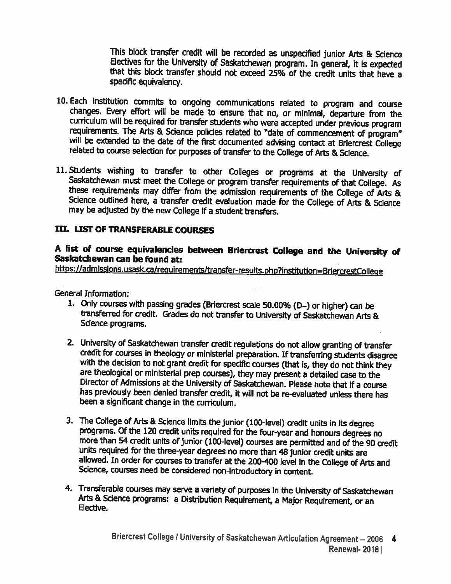This block transfer credit will be recorded as unspecified junior Arts & Science Electives for the University of Saskatchewan program. In general, it is expected that this block transfer should not exceed 25% of the credit units that have <sup>a</sup> specific equivalency.

- 10. Each institution commits to ongoing communications related to program and course changes. Every effort will be made to ensure that no, or minimal, departure from the curriculum will be required for transfer students who were accepted under previous program requirements. The Arts & Science policies related to "date of commencement of program" will be extended to the date of the first documented advising contact at Briercrest College related to course selection for purposes of transfer to the College of Arts & Science.
- 11. Students wishing to transfer to other Colleges or programs at the University of Saskatchewan must meet the College or program transfer requirements of that College. As these requirements may differ from the admission requirements of the College of Arts & Science outlined here, a transfer credit evaluation made for the College of Arts & Science may be adjusted by the new College if <sup>a</sup> student transfers.

# IlL LIST OF TRANSFERABLE COURSES

## <sup>A</sup> list of course equivalendes between Briercrest College and the University of Saskatchewan can be found at:

https://admissions.usask.ca/requirements/transfer-results.php?institution=BriercrestCollege

General Information:

- 1. Only courses with passing grades (Briercrest scale 50.00% (0—) or higher) can be transferred for credit. Grades do not transfer to University of Saskatchewan Arts & Science programs.
- 2. University of Saskatchewan transfer credit regulations do not allow granting of transfer credit for courses in theology or ministerial preparation. If transferring students disagree with the decision to not grant credit for specific courses (that is, they do not think they are theological or ministerial prep courses), they may present <sup>a</sup> detailed case to the Director of Admissions at the University of Saskatchewan. Please note that if <sup>a</sup> course has previously been denied transfer credit, it will not be re-evaluated unless there has been <sup>a</sup> significant change in the curriculum.
- 3. The College of Arts & Science limits the junior (100-level) credit units in its degree programs. Of the <sup>120</sup> credit units required for the four-year and honours degrees no more than <sup>54</sup> credit units of junior (100-level) courses are permitted and of the <sup>90</sup> credit units required for the three-year degrees no more than <sup>48</sup> junior credit units are allowed. In order for courses to transfer at the 200-400 level in the College of Arts and Science, courses need be considered non-introductory in content.
- 4. Transferable courses may serve <sup>a</sup> variety of purposes in the University of Saskatchewan Arts & Science programs: <sup>a</sup> Distribution Requirement, <sup>a</sup> Major Requirement, or an Elective.